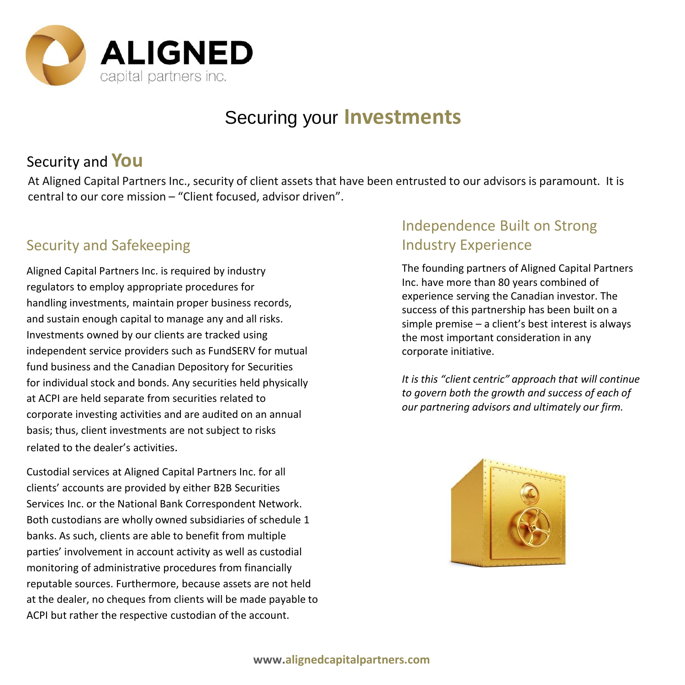

## Securing your **Investments**

## Security and **You**

At Aligned Capital Partners Inc., security of client assets that have been entrusted to our advisors is paramount. It is central to our core mission – "Client focused, advisor driven".

#### Security and Safekeeping

Aligned Capital Partners Inc. is required by industry regulators to employ appropriate procedures for handling investments, maintain proper business records, and sustain enough capital to manage any and all risks. Investments owned by our clients are tracked using independent service providers such as FundSERV for mutual fund business and the Canadian Depository for Securities for individual stock and bonds. Any securities held physically at ACPI are held separate from securities related to corporate investing activities and are audited on an annual basis; thus, client investments are not subject to risks related to the dealer's activities.

Custodial services at Aligned Capital Partners Inc. for all clients' accounts are provided by either B2B Securities Services Inc. or the National Bank Correspondent Network. Both custodians are wholly owned subsidiaries of schedule 1 banks. As such, clients are able to benefit from multiple parties' involvement in account activity as well as custodial monitoring of administrative procedures from financially reputable sources. Furthermore, because assets are not held at the dealer, no cheques from clients will be made payable to ACPI but rather the respective custodian of the account.

#### Independence Built on Strong Industry Experience

The founding partners of Aligned Capital Partners Inc. have more than 80 years combined of experience serving the Canadian investor. The success of this partnership has been built on a simple premise – a client's best interest is always the most important consideration in any corporate initiative.

*It is this "client centric" approach that will continue to govern both the growth and success of each of our partnering advisors and ultimately our firm.*